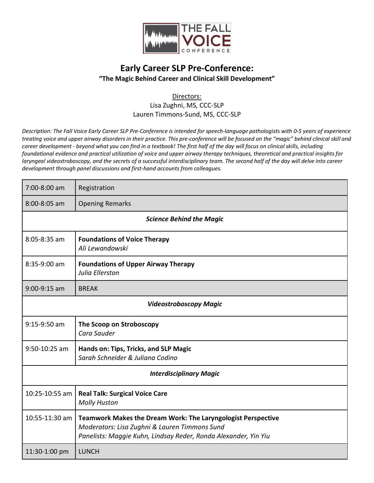

## **Early Career SLP Pre-Conference: "The Magic Behind Career and Clinical Skill Development"**

## Directors:

Lisa Zughni, MS, CCC-SLP Lauren Timmons-Sund, MS, CCC-SLP

*Description: The Fall Voice Early Career SLP Pre-Conference is intended for speech-language pathologists with 0-5 years of experience treating voice and upper airway disorders in their practice. This pre-conference will be focused on the "magic" behind clinical skill and career development - beyond what you can find in a textbook! The first half of the day will focus on clinical skills, including foundational evidence and practical utilization of voice and upper airway therapy techniques, theoretical and practical insights for laryngeal videostroboscopy, and the secrets of a successful interdisciplinary team. The second half of the day will delve into career development through panel discussions and first-hand accounts from colleagues.*

| 7:00-8:00 am                    | Registration                                                                                                                                                                            |  |
|---------------------------------|-----------------------------------------------------------------------------------------------------------------------------------------------------------------------------------------|--|
| $8:00 - 8:05$ am                | <b>Opening Remarks</b>                                                                                                                                                                  |  |
| <b>Science Behind the Magic</b> |                                                                                                                                                                                         |  |
| $8:05 - 8:35$ am                | <b>Foundations of Voice Therapy</b><br>Ali Lewandowski                                                                                                                                  |  |
| 8:35-9:00 am                    | <b>Foundations of Upper Airway Therapy</b><br>Julia Ellerston                                                                                                                           |  |
| $9:00-9:15$ am                  | <b>BREAK</b>                                                                                                                                                                            |  |
| <b>Videostroboscopy Magic</b>   |                                                                                                                                                                                         |  |
| $9:15-9:50$ am                  | The Scoop on Stroboscopy<br>Cara Sauder                                                                                                                                                 |  |
| $9:50 - 10:25$ am               | Hands on: Tips, Tricks, and SLP Magic<br>Sarah Schneider & Juliana Codino                                                                                                               |  |
| <b>Interdisciplinary Magic</b>  |                                                                                                                                                                                         |  |
| 10:25-10:55 am                  | <b>Real Talk: Surgical Voice Care</b><br><b>Molly Huston</b>                                                                                                                            |  |
| 10:55-11:30 am                  | <b>Teamwork Makes the Dream Work: The Laryngologist Perspective</b><br>Moderators: Lisa Zughni & Lauren Timmons Sund<br>Panelists: Maggie Kuhn, Lindsay Reder, Ronda Alexander, Yin Yiu |  |
| 11:30-1:00 pm                   | <b>LUNCH</b>                                                                                                                                                                            |  |